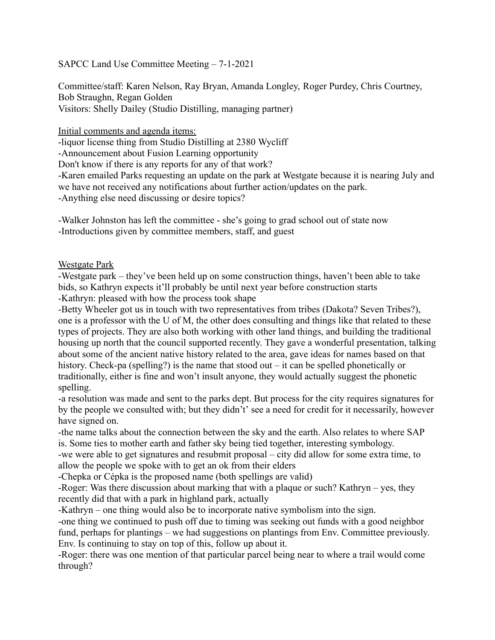# SAPCC Land Use Committee Meeting – 7-1-2021

Committee/staff: Karen Nelson, Ray Bryan, Amanda Longley, Roger Purdey, Chris Courtney, Bob Straughn, Regan Golden Visitors: Shelly Dailey (Studio Distilling, managing partner)

Initial comments and agenda items:

-liquor license thing from Studio Distilling at 2380 Wycliff

-Announcement about Fusion Learning opportunity

Don't know if there is any reports for any of that work?

-Karen emailed Parks requesting an update on the park at Westgate because it is nearing July and we have not received any notifications about further action/updates on the park.

-Anything else need discussing or desire topics?

-Walker Johnston has left the committee - she's going to grad school out of state now -Introductions given by committee members, staff, and guest

# Westgate Park

-Westgate park – they've been held up on some construction things, haven't been able to take bids, so Kathryn expects it'll probably be until next year before construction starts -Kathryn: pleased with how the process took shape

-Betty Wheeler got us in touch with two representatives from tribes (Dakota? Seven Tribes?), one is a professor with the U of M, the other does consulting and things like that related to these types of projects. They are also both working with other land things, and building the traditional housing up north that the council supported recently. They gave a wonderful presentation, talking about some of the ancient native history related to the area, gave ideas for names based on that history. Check-pa (spelling?) is the name that stood out – it can be spelled phonetically or traditionally, either is fine and won't insult anyone, they would actually suggest the phonetic spelling.

-a resolution was made and sent to the parks dept. But process for the city requires signatures for by the people we consulted with; but they didn't' see a need for credit for it necessarily, however have signed on.

-the name talks about the connection between the sky and the earth. Also relates to where SAP is. Some ties to mother earth and father sky being tied together, interesting symbology.

-we were able to get signatures and resubmit proposal – city did allow for some extra time, to allow the people we spoke with to get an ok from their elders

-Chepka or Cépka is the proposed name (both spellings are valid)

-Roger: Was there discussion about marking that with a plaque or such? Kathryn – yes, they recently did that with a park in highland park, actually

-Kathryn – one thing would also be to incorporate native symbolism into the sign.

-one thing we continued to push off due to timing was seeking out funds with a good neighbor fund, perhaps for plantings – we had suggestions on plantings from Env. Committee previously. Env. Is continuing to stay on top of this, follow up about it.

-Roger: there was one mention of that particular parcel being near to where a trail would come through?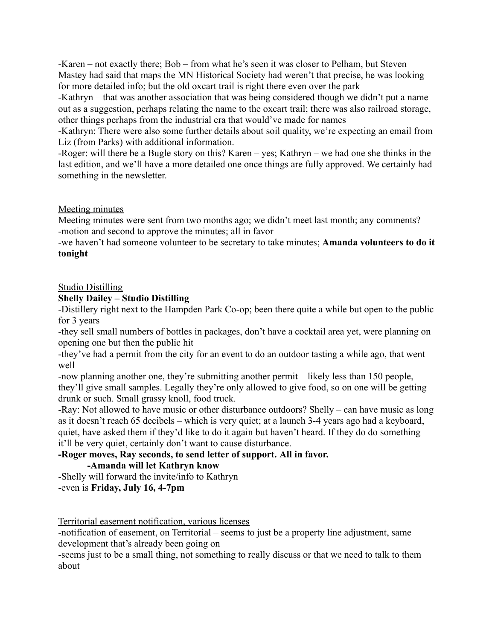-Karen – not exactly there; Bob – from what he's seen it was closer to Pelham, but Steven Mastey had said that maps the MN Historical Society had weren't that precise, he was looking for more detailed info; but the old oxcart trail is right there even over the park

-Kathryn – that was another association that was being considered though we didn't put a name out as a suggestion, perhaps relating the name to the oxcart trail; there was also railroad storage, other things perhaps from the industrial era that would've made for names

-Kathryn: There were also some further details about soil quality, we're expecting an email from Liz (from Parks) with additional information.

-Roger: will there be a Bugle story on this? Karen – yes; Kathryn – we had one she thinks in the last edition, and we'll have a more detailed one once things are fully approved. We certainly had something in the newsletter.

# Meeting minutes

Meeting minutes were sent from two months ago; we didn't meet last month; any comments? -motion and second to approve the minutes; all in favor

-we haven't had someone volunteer to be secretary to take minutes; **Amanda volunteers to do it tonight**

#### Studio Distilling

# **Shelly Dailey – Studio Distilling**

-Distillery right next to the Hampden Park Co-op; been there quite a while but open to the public for 3 years

-they sell small numbers of bottles in packages, don't have a cocktail area yet, were planning on opening one but then the public hit

-they've had a permit from the city for an event to do an outdoor tasting a while ago, that went well

-now planning another one, they're submitting another permit – likely less than 150 people, they'll give small samples. Legally they're only allowed to give food, so on one will be getting drunk or such. Small grassy knoll, food truck.

-Ray: Not allowed to have music or other disturbance outdoors? Shelly – can have music as long as it doesn't reach 65 decibels – which is very quiet; at a launch 3-4 years ago had a keyboard, quiet, have asked them if they'd like to do it again but haven't heard. If they do do something it'll be very quiet, certainly don't want to cause disturbance.

#### **-Roger moves, Ray seconds, to send letter of support. All in favor. -Amanda will let Kathryn know**

-Shelly will forward the invite/info to Kathryn -even is **Friday, July 16, 4-7pm**

Territorial easement notification, various licenses

-notification of easement, on Territorial – seems to just be a property line adjustment, same development that's already been going on

-seems just to be a small thing, not something to really discuss or that we need to talk to them about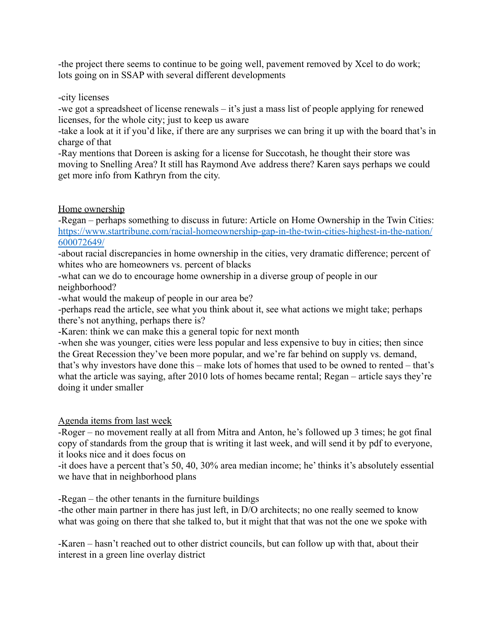-the project there seems to continue to be going well, pavement removed by Xcel to do work; lots going on in SSAP with several different developments

#### -city licenses

-we got a spreadsheet of license renewals – it's just a mass list of people applying for renewed licenses, for the whole city; just to keep us aware

-take a look at it if you'd like, if there are any surprises we can bring it up with the board that's in charge of that

-Ray mentions that Doreen is asking for a license for Succotash, he thought their store was moving to Snelling Area? It still has Raymond Ave address there? Karen says perhaps we could get more info from Kathryn from the city.

# Home ownership

-Regan – perhaps something to discuss in future: Article on Home Ownership in the Twin Cities: [https://www.startribune.com/racial-homeownership-gap-in-the-twin-cities-highest-in-the-nation/](https://www.startribune.com/racial-homeownership-gap-in-the-twin-cities-highest-in-the-nation/600072649/) [600072649/](https://www.startribune.com/racial-homeownership-gap-in-the-twin-cities-highest-in-the-nation/600072649/)

-about racial discrepancies in home ownership in the cities, very dramatic difference; percent of whites who are homeowners vs. percent of blacks

-what can we do to encourage home ownership in a diverse group of people in our neighborhood?

-what would the makeup of people in our area be?

-perhaps read the article, see what you think about it, see what actions we might take; perhaps there's not anything, perhaps there is?

-Karen: think we can make this a general topic for next month

-when she was younger, cities were less popular and less expensive to buy in cities; then since the Great Recession they've been more popular, and we're far behind on supply vs. demand, that's why investors have done this – make lots of homes that used to be owned to rented – that's what the article was saying, after 2010 lots of homes became rental; Regan – article says they're doing it under smaller

Agenda items from last week

-Roger – no movement really at all from Mitra and Anton, he's followed up 3 times; he got final copy of standards from the group that is writing it last week, and will send it by pdf to everyone, it looks nice and it does focus on

-it does have a percent that's 50, 40, 30% area median income; he' thinks it's absolutely essential we have that in neighborhood plans

-Regan – the other tenants in the furniture buildings

-the other main partner in there has just left, in D/O architects; no one really seemed to know what was going on there that she talked to, but it might that that was not the one we spoke with

-Karen – hasn't reached out to other district councils, but can follow up with that, about their interest in a green line overlay district